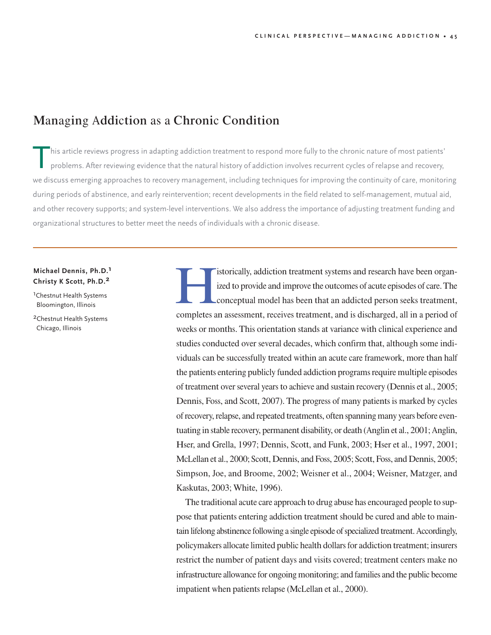# Managing Addiction as a Chronic Condition

his article reviews progress in adapting addiction treatment to respond more fully to the chronic nature of most patients' problems. After reviewing evidence that the natural history of addiction involves recurrent cycles of relapse and recovery, we discuss emerging approaches to recovery management, including techniques for improving the continuity of care, monitoring during periods of abstinence, and early reintervention; recent developments in the field related to self-management, mutual aid, and other recovery supports; and system-level interventions. We also address the importance of adjusting treatment funding and organizational structures to better meet the needs of individuals with a chronic disease.

# **Michael Dennis, Ph.D. 1 Christy K Scott, Ph.D. 2**

<sup>1</sup>Chestnut Health Systems Bloomington, Illinois

2Chestnut Health Systems Chicago, Illinois

Internation of the systems and research have been organ-<br>ized to provide and improve the outcomes of acute episodes of care. The<br>conceptual model has been that an addicted person seeks treatment, ized to provide and improve the outcomes of acute episodes of care.The completes an assessment, receives treatment, and is discharged, all in a period of weeks or months. This orientation stands at variance with clinical experience and studies conducted over several decades, which confirm that, although some individuals can be successfully treated within an acute care framework, more than half the patients entering publicly funded addiction programs require multiple episodes of treatment over several years to achieve and sustain recovery (Dennis et al., 2005; Dennis, Foss, and Scott, 2007). The progress of many patients is marked by cycles of recovery, relapse, and repeated treatments, often spanning many years before eventuating in stable recovery, permanent disability, or death (Anglin et al., 2001; Anglin, Hser, and Grella, 1997; Dennis, Scott, and Funk, 2003; Hser et al., 1997, 2001; McLellan et al., 2000; Scott, Dennis, and Foss, 2005; Scott, Foss, and Dennis, 2005; Simpson, Joe, and Broome, 2002; Weisner et al., 2004; Weisner, Matzger, and Kaskutas, 2003; White, 1996).

The traditional acute care approach to drug abuse has encouraged people to suppose that patients entering addiction treatment should be cured and able to maintain lifelong abstinence following a single episode of specialized treatment. Accordingly, policymakers allocate limited public health dollars for addiction treatment; insurers restrict the number of patient days and visits covered; treatment centers make no infrastructure allowance for ongoing monitoring; and families and the public become impatient when patients relapse (McLellan et al., 2000).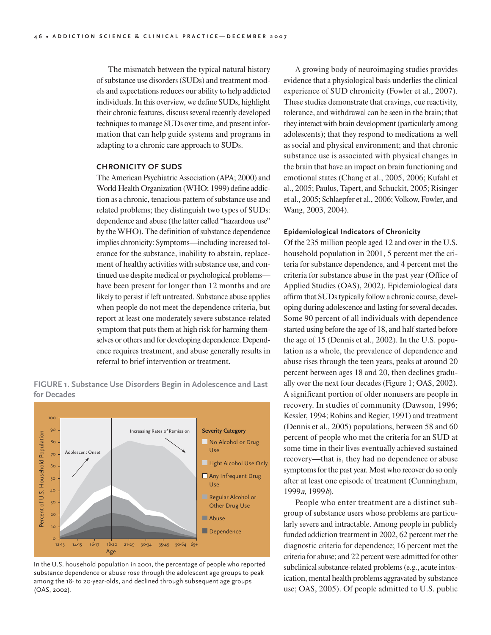The mismatch between the typical natural history of substance use disorders (SUDs) and treatment models and expectations reduces our ability to help addicted individuals. In this overview, we define SUDs, highlight their chronic features, discuss several recently developed techniques to manage SUDs over time, and present information that can help guide systems and programs in adapting to a chronic care approach to SUDs.

## **CHRONICITY OF SUDS**

The American Psychiatric Association (APA; 2000) and World Health Organization (WHO; 1999) define addiction as a chronic, tenacious pattern of substance use and related problems; they distinguish two types of SUDs: dependence and abuse (the latter called "hazardous use" by the WHO). The definition of substance dependence implies chronicity: Symptoms—including increased tolerance for the substance, inability to abstain, replacement of healthy activities with substance use, and continued use despite medical or psychological problems have been present for longer than 12 months and are likely to persist if left untreated. Substance abuse applies when people do not meet the dependence criteria, but report at least one moderately severe substance-related symptom that puts them at high risk for harming themselves or others and for developing dependence. Dependence requires treatment, and abuse generally results in referral to brief intervention or treatment.

**FIGURE 1. Substance Use Disorders Begin in Adolescence and Last for Decades**



In the U.S. household population in 2001, the percentage of people who reported substance dependence or abuse rose through the adolescent age groups to peak among the 18- to 20-year-olds, and declined through subsequent age groups (OAS, 2002).

A growing body of neuroimaging studies provides evidence that a physiological basis underlies the clinical experience of SUD chronicity (Fowler et al., 2007). These studies demonstrate that cravings, cue reactivity, tolerance, and withdrawal can be seen in the brain; that they interact with brain development (particularly among adolescents); that they respond to medications as well as social and physical environment; and that chronic substance use is associated with physical changes in the brain that have an impact on brain functioning and emotional states (Chang et al., 2005, 2006; Kufahl et al., 2005; Paulus, Tapert, and Schuckit, 2005; Risinger et al., 2005; Schlaepfer et al., 2006; Volkow, Fowler, and Wang, 2003, 2004).

#### **Epidemiological Indicators of Chronicity**

Of the 235 million people aged 12 and over in the <sup>U</sup>.S. household population in 2001, 5 percent met the criteria for substance dependence, and 4 percent met the criteria for substance abuse in the past year (Office of Applied Studies (OAS), 2002). Epidemiological data affirm that SUDs typically follow a chronic course, developing during adolescence and lasting for several decades. Some 90 percent of all individuals with dependence started using before the age of 18, and half started before the age of 15 (Dennis et al., 2002). In the <sup>U</sup>.S. population as a whole, the prevalence of dependence and abuse rises through the teen years, peaks at around 20 percent between ages 18 and 20, then declines gradually over the next four decades (Figure 1; OAS, 2002). A significant portion of older nonusers are people in recovery. In studies of community (Dawson, 1996; Kessler, 1994; Robins and Regier, 1991) and treatment (Dennis et al., 2005) populations, between 58 and 60 percent of people who met the criteria for an SUD at some time in their lives eventually achieved sustained recovery—that is, they had no dependence or abuse symptoms for the past year. Most who recover do so only after at least one episode of treatment (Cunningham, 1999a, 1999b).

People who enter treatment are a distinct subgroup of substance users whose problems are particularly severe and intractable. Among people in publicly funded addiction treatment in 2002, 62 percent met the diagnostic criteria for dependence; 16 percent met the criteria for abuse; and 22 percent were admitted for other subclinical substance-related problems (e.g., acute intoxication, mental health problems aggravated by substance use; OAS, 2005). Of people admitted to <sup>U</sup>.S. public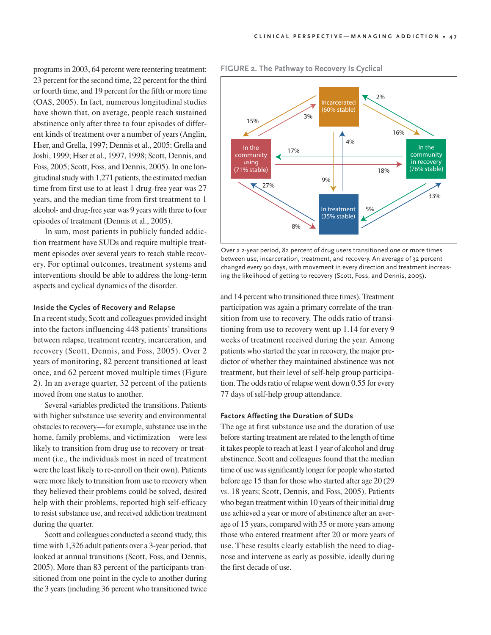programs in 2003, 64 percent were reentering treatment: 23 percent for the second time, 22 percent for the third or fourth time, and 19 percent for the fifth or more time (OAS, 2005). In fact, numerous longitudinal studies have shown that, on average, people reach sustained abstinence only after three to four episodes of different kinds of treatment over a number of years (Anglin, Hser, and Grella, 1997; Dennis et al., 2005; Grella and Joshi, 1999; Hser et al., 1997, 1998; Scott, Dennis, and Foss, 2005; Scott, Foss, and Dennis, 2005). In one longitudinal study with 1,271 patients, the estimated median time from first use to at least 1 drug-free year was 27 years, and the median time from first treatment to 1 alcohol- and drug-free year was 9 years with three to four episodes of treatment (Dennis et al., 2005).

In sum, most patients in publicly funded addiction treatment have SUDs and require multiple treatment episodes over several years to reach stable recovery. For optimal outcomes, treatment systems and interventions should be able to address the long-term aspects and cyclical dynamics of the disorder.

#### **Inside the Cycles of Recovery and Relapse**

In a recent study, Scott and colleagues provided insight into the factors influencing 448 patients' transitions between relapse, treatment reentry, incarceration, and recovery (Scott, Dennis, and Foss, 2005). Over 2 years of monitoring, 82 percent transitioned at least once, and 62 percent moved multiple times (Figure 2). In an average quarter, 32 percent of the patients moved from one status to another.

Several variables predicted the transitions. Patients with higher substance use severity and environmental obstacles to recovery—for example, substance use in the home, family problems, and victimization—were less likely to transition from drug use to recovery or treatment (i.e., the individuals most in need of treatment were the least likely to re-enroll on their own). Patients were more likely to transition from use to recovery when they believed their problems could be solved, desired help with their problems, reported high self-efficacy to resist substance use, and received addiction treatment during the quarter.

Scott and colleagues conducted a second study, this time with 1,326 adult patients over a 3-year period, that looked at annual transitions (Scott, Foss, and Dennis, 2005). More than 83 percent of the participants transitioned from one point in the cycle to another during the 3 years (including 36 percent who transitioned twice



#### **FIGURE 2. The Pathway to Recovery Is Cyclical**

Over a 2-year period, 82 percent of drug users transitioned one or more times between use, incarceration, treatment, and recovery. An average of 32 percent changed every 90 days, with movement in every direction and treatment increasing the likelihood of getting to recovery (Scott, Foss, and Dennis, 2005).

and 14 percent who transitioned three times).Treatment participation was again a primary correlate of the transition from use to recovery. The odds ratio of transitioning from use to recovery went up 1.14 for every 9 weeks of treatment received during the year. Among patients who started the year in recovery, the major predictor of whether they maintained abstinence was not treatment, but their level of self-help group participation. The odds ratio of relapse went down 0.55 for every 77 days of self-help group attendance.

## **Factors Affecting the Duration of SUDs**

The age at first substance use and the duration of use before starting treatment are related to the length of time it takes people to reach at least 1 year of alcohol and drug abstinence. Scott and colleagues found that the median time of use was significantly longer for people who started before age 15 than for those who started after age 20 (29 vs. 18 years; Scott, Dennis, and Foss, 2005). Patients who began treatment within 10 years of their initial drug use achieved a year or more of abstinence after an average of 15 years, compared with 35 or more years among those who entered treatment after 20 or more years of use. These results clearly establish the need to diagnose and intervene as early as possible, ideally during the first decade of use.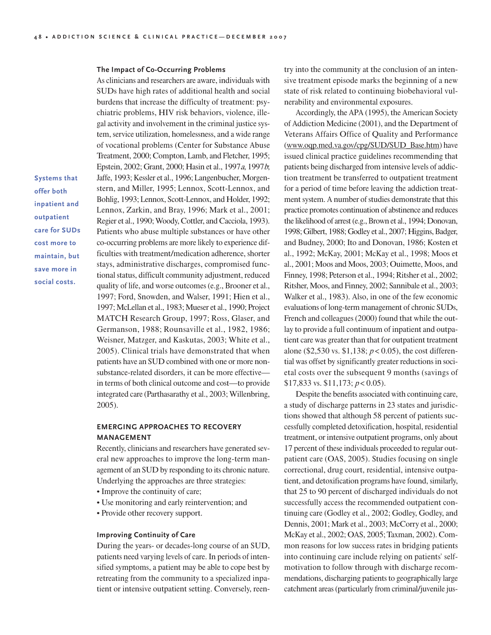#### **The Impact of Co-Occurring Problems**

**Systems that offer both inpatient and outpatient care for SUDs cost more to maintain, but save more in social costs.**

As clinicians and researchers are aware, individuals with SUDs have high rates of additional health and social burdens that increase the difficulty of treatment: psychiatric problems, HIV risk behaviors, violence, illegal activity and involvement in the criminal justice system, service utilization, homelessness, and a wide range of vocational problems (Center for Substance Abuse Treatment, 2000; Compton, Lamb, and Fletcher, 1995; Epstein, 2002; Grant, 2000; Hasin et al., 1997a, 1997b; Jaffe, 1993; Kessler et al., 1996; Langenbucher, Morgenstern, and Miller, 1995; Lennox, Scott-Lennox, and Bohlig, 1993; Lennox, Scott-Lennox, and Holder, 1992; Lennox, Zarkin, and Bray, 1996; Mark et al., 2001; Regier et al., 1990; Woody, Cottler, and Cacciola, 1993). Patients who abuse multiple substances or have other co-occurring problems are more likely to experience difficulties with treatment/medication adherence, shorter stays, administrative discharges, compromised functional status, difficult community adjustment, reduced quality of life, and worse outcomes (e.g., Brooner et al., 1997; Ford, Snowden, and Walser, 1991; Hien et al., 1997; McLellan et al., 1983; Mueser et al., 1990; Project MATCH Research Group, 1997; Ross, Glaser, and Germanson, 1988; Rounsaville et al., 1982, 1986; Weisner, Matzger, and Kaskutas, 2003; White et al., 2005). Clinical trials have demonstrated that when patients have an SUD combined with one or more nonsubstance-related disorders, it can be more effective in terms of both clinical outcome and cost—to provide integrated care (Parthasarathy et al., 2003; Willenbring, 2005).

# **EMERGING APPROACHES TO RECOVERY MANAGEMENT**

Recently, clinicians and researchers have generated several new approaches to improve the long-term management of an SUD by responding to its chronic nature. <sup>U</sup>nderlying the approaches are three strategies:

- Improve the continuity of care;
- <sup>U</sup>se monitoring and early reintervention; and
- Provide other recovery support.

#### **Improving Continuity of Care**

During the years- or decades-long course of an SUD, patients need varying levels of care. In periods of intensified symptoms, a patient may be able to cope best by retreating from the community to a specialized inpatient or intensive outpatient setting. Conversely, reentry into the community at the conclusion of an intensive treatment episode marks the beginning of a new state of risk related to continuing biobehavioral vulnerability and environmental exposures.

Accordingly, the APA (1995), the American Society of Addiction Medicine (2001), and the Department of Veterans Affairs Office of Quality and Performance (www.oqp.med.va.gov/cpg/SUD/SUD\_Base.htm) have issued clinical practice guidelines recommending that patients being discharged from intensive levels of addiction treatment be transferred to outpatient treatment for a period of time before leaving the addiction treatment system. A number of studies demonstrate that this practice promotes continuation of abstinence and reduces the likelihood of arrest (e.g., Brown et al., 1994; Donovan, 1998; Gilbert, 1988; Godley et al., 2007; Higgins, Badger, and Budney, 2000; Ito and Donovan, 1986; Kosten et al., 1992; McKay, 2001; McKay et al., 1998; Moos et al., 2001; Moos and Moos, 2003; Ouimette, Moos, and Finney, 1998; Peterson et al., 1994; Ritsher et al., 2002; Ritsher, Moos, and Finney, 2002; Sannibale et al., 2003; Walker et al., 1983). Also, in one of the few economic evaluations of long-term management of chronic SUDs, French and colleagues (2000) found that while the outlay to provide a full continuum of inpatient and outpatient care was greater than that for outpatient treatment alone (\$2,530 vs. \$1,138;  $p < 0.05$ ), the cost differential was offset by significantly greater reductions in societal costs over the subsequent 9 months (savings of \$17,833 vs. \$11,173;  $p < 0.05$ ).

Despite the benefits associated with continuing care, a study of discharge patterns in 23 states and jurisdictions showed that although 58 percent of patients successfully completed detoxification, hospital, residential treatment, or intensive outpatient programs, only about 17 percent of these individuals proceeded to regular outpatient care (OAS, 2005). Studies focusing on single correctional, drug court, residential, intensive outpatient, and detoxification programs have found, similarly, that 25 to 90 percent of discharged individuals do not successfully access the recommended outpatient continuing care (Godley et al., 2002; Godley, Godley, and Dennis, 2001; Mark et al., 2003; McCorry et al., 2000; McKay et al., 2002; OAS, 2005; Taxman, 2002). Common reasons for low success rates in bridging patients into continuing care include relying on patients' selfmotivation to follow through with discharge recommendations, discharging patients to geographically large catchment areas (particularly from criminal/juvenile jus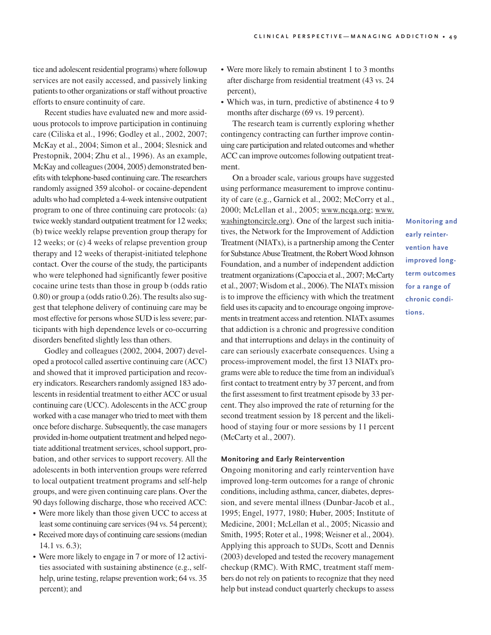tice and adolescent residential programs) where followup services are not easily accessed, and passively linking patients to other organizations orstaff without proactive efforts to ensure continuity of care.

Recent studies have evaluated new and more assiduous protocols to improve participation in continuing care (Ciliska et al., 1996; Godley et al., 2002, 2007; McKay et al., 2004; Simon et al., 2004; Slesnick and Prestopnik, 2004; Zhu et al., 1996). As an example, McKay and colleagues (2004, 2005) demonstrated benefits with telephone-based continuing care.The researchers randomly assigned 359 alcohol- or cocaine-dependent adults who had completed a 4-week intensive outpatient program to one of three continuing care protocols: (a) twice weekly standard outpatient treatment for 12 weeks; (b) twice weekly relapse prevention group therapy for 12 weeks; or (c) 4 weeks of relapse prevention group therapy and 12 weeks of therapist-initiated telephone contact. Over the course of the study, the participants who were telephoned had significantly fewer positive cocaine urine tests than those in group b (odds ratio 0.80) or group a (odds ratio 0.26). The results also suggest that telephone delivery of continuing care may be most effective for persons whose SUD is less severe; participants with high dependence levels or co-occurring disorders benefited slightly less than others.

Godley and colleagues (2002, 2004, 2007) developed a protocol called assertive continuing care (ACC) and showed that it improved participation and recovery indicators. Researchers randomly assigned 183 adolescents in residential treatment to either ACC or usual continuing care (UCC). Adolescents in the ACC group worked with a case manager who tried to meet with them once before discharge. Subsequently, the case managers provided in-home outpatient treatment and helped negotiate additional treatment services, school support, probation, and other services to support recovery. All the adolescents in both intervention groups were referred to local outpatient treatment programs and self-help groups, and were given continuing care plans. Over the 90 days following discharge, those who received ACC:

- Were more likely than those given <sup>U</sup>CC to access at least some continuing care services (94 vs. 54 percent);
- Received more days of continuing care sessions (median 14.1 vs. 6.3);
- Were more likely to engage in 7 or more of 12 activities associated with sustaining abstinence (e.g., selfhelp, urine testing, relapse prevention work; 64 vs. 35 percent); and
- Were more likely to remain abstinent 1 to 3 months after discharge from residential treatment (43 vs. 24 percent),
- Which was, in turn, predictive of abstinence 4 to 9 months after discharge (69 vs. 19 percent).

The research team is currently exploring whether contingency contracting can further improve continuing care participation and related outcomes and whether ACC can improve outcomes following outpatient treatment.

On a broader scale, various groups have suggested using performance measurement to improve continuity of care (e.g., Garnick et al., 2002; McCorry et al., 2000; McLellan et al., 2005; www.ncqa.org; www. washingtoncircle.org). One of the largest such initiatives, the Network for the Improvement of Addiction Treatment (NIATx), is a partnership among the Center for Substance Abuse Treatment, the Robert Wood Johnson Foundation, and a number of independent addiction treatment organizations (Capoccia et al., 2007; McCarty et al., 2007; Wisdom et al., 2006). The NIATx mission is to improve the efficiency with which the treatment field uses its capacity and to encourage ongoing improvements in treatment access and retention. NIATx assumes that addiction is a chronic and progressive condition and that interruptions and delays in the continuity of care can seriously exacerbate consequences. <sup>U</sup>sing a process-improvement model, the first 13 NIATx programs were able to reduce the time from an individual's first contact to treatment entry by 37 percent, and from the first assessment to first treatment episode by 33 percent. They also improved the rate of returning for the second treatment session by 18 percent and the likelihood of staying four or more sessions by 11 percent (McCarty et al., 2007).

#### **Monitoring and Early Reintervention**

Ongoing monitoring and early reintervention have improved long-term outcomes for a range of chronic conditions, including asthma, cancer, diabetes, depression, and severe mental illness (Dunbar-Jacob et al., 1995; Engel, 1977, 1980; Huber, 2005; Institute of Medicine, 2001; McLellan et al., 2005; Nicassio and Smith, 1995; Roter et al., 1998; Weisner et al., 2004). Applying this approach to SUDs, Scott and Dennis (2003) developed and tested the recovery management checkup (RMC). With RMC, treatment staff members do not rely on patients to recognize that they need help but instead conduct quarterly checkups to assess

**Monitoring and early reintervention have improved longterm outcomes for a range of chronic conditions.**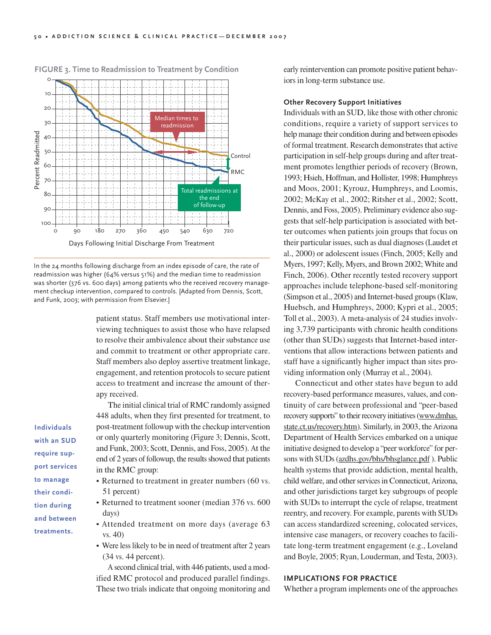

**FIGURE 3. Time to Readmission to Treatment by Condition**

In the 24 months following discharge from an index episode of care, the rate of readmission was higher (64% versus 51%) and the median time to readmission was shorter (376 vs. 600 days) among patients who the received recovery management checkup intervention, compared to controls. [Adapted from Dennis, Scott, and Funk, 2003; with permission from Elsevier.]

> patient status. Staff members use motivational interviewing techniques to assist those who have relapsed to resolve their ambivalence about their substance use and commit to treatment or other appropriate care. Staff members also deploy assertive treatment linkage, engagement, and retention protocols to secure patient access to treatment and increase the amount of therapy received.

The initial clinical trial of RMC randomly assigned 448 adults, when they first presented for treatment, to post-treatment followup with the checkup intervention or only quarterly monitoring (Figure 3; Dennis, Scott, and Funk, 2003; Scott, Dennis, and Foss, 2005). At the end of 2 years of followup, the results showed that patients in the RMC group:

- Returned to treatment in greater numbers (60 vs. 51 percent)
- Returned to treatment sooner (median 376 vs. 600 days)
- Attended treatment on more days (average 63 vs. 40)
- Were less likely to be in need of treatment after 2 years (34 vs. 44 percent).

A second clinical trial, with 446 patients, used a modified RMC protocol and produced parallel findings. These two trials indicate that ongoing monitoring and early reintervention can promote positive patient behaviors in long-term substance use.

#### **Other Recovery Support Initiatives**

Individuals with an SUD, like those with other chronic conditions, require a variety of support services to help manage their condition during and between episodes of formal treatment. Research demonstrates that active participation in self-help groups during and after treatment promotes lengthier periods of recovery (Brown, 1993; Hsieh, Hoffman, and Hollister, 1998; Humphreys and Moos, 2001; Kyrouz, Humphreys, and Loomis, 2002; McKay et al., 2002; Ritsher et al., 2002; Scott, Dennis, and Foss, 2005). Preliminary evidence also suggests that self-help participation is associated with better outcomes when patients join groups that focus on their particular issues, such as dual diagnoses (Laudet et al., 2000) or adolescent issues (Finch, 2005; Kelly and Myers, 1997; Kelly, Myers, and Brown 2002; White and Finch, 2006). Other recently tested recovery support approaches include telephone-based self-monitoring (Simpson et al., 2005) and Internet-based groups (Klaw, Huebsch, and Humphreys, 2000; Kypri et al., 2005; Toll et al., 2003). A meta-analysis of 24 studies involving 3,739 participants with chronic health conditions (other than SUDs) suggests that Internet-based interventions that allow interactions between patients and staff have a significantly higher impact than sites providing information only (Murray et al., 2004).

Connecticut and other states have begun to add recovery-based performance measures, values, and continuity of care between professional and "peer-based recovery supports" to their recovery initiatives (www.dmhas. state.ct.us/recovery.htm). Similarly, in 2003, the Arizona Department of Health Services embarked on a unique initiative designed to develop a "peer workforce" for persons with SUDs (azdhs.gov/bhs/bhsglance.pdf ). Public health systems that provide addiction, mental health, child welfare, and other services in Connecticut, Arizona, and other jurisdictions target key subgroups of people with SUDs to interrupt the cycle of relapse, treatment reentry, and recovery. For example, parents with SUDs can access standardized screening, colocated services, intensive case managers, or recovery coaches to facilitate long-term treatment engagement (e.g., Loveland and Boyle, 2005; Ryan, Louderman, and Testa, 2003).

# **IMPLICATIONS FOR PRACTICE**

Whether a program implements one of the approaches

**with an SUD require support services to manage their condition during and between treatments.**

**Individuals**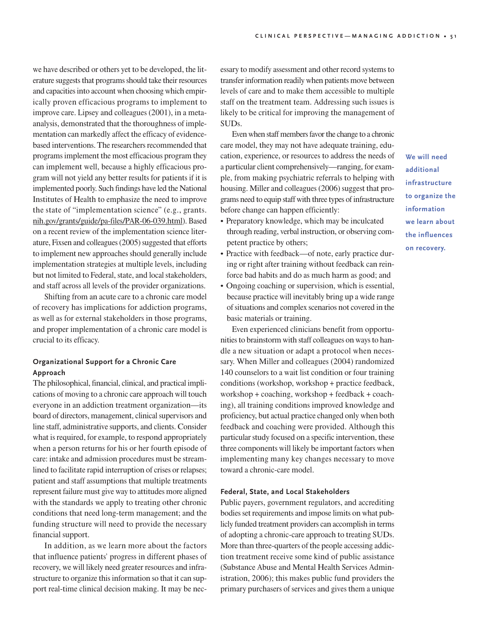we have described or others yet to be developed, the literature suggests that programs should take their resources and capacities into account when choosing which empirically proven efficacious programs to implement to improve care. Lipsey and colleagues (2001), in a metaanalysis, demonstrated that the thoroughness of implementation can markedly affect the efficacy of evidencebased interventions. The researchers recommended that programs implement the most efficacious program they can implement well, because a highly efficacious program will not yield any better results for patients if it is implemented poorly. Such findings have led the National Institutes of Health to emphasize the need to improve the state of "implementation science" (e.g., grants. nih.gov/grants/guide/pa-files/PAR-06-039.html). Based on a recent review of the implementation science literature, Fixsen and colleagues (2005) suggested that efforts to implement new approaches should generally include implementation strategies at multiple levels, including but not limited to Federal, state, and local stakeholders, and staff across all levels of the provider organizations.

Shifting from an acute care to a chronic care model of recovery has implications for addiction programs, as well as for external stakeholders in those programs, and proper implementation of a chronic care model is crucial to its efficacy.

# **Organizational Support for a Chronic Care Approach**

The philosophical, financial, clinical, and practical implications of moving to a chronic care approach will touch everyone in an addiction treatment organization—its board of directors, management, clinical supervisors and line staff, administrative supports, and clients. Consider what is required, for example, to respond appropriately when a person returns for his or her fourth episode of care: intake and admission procedures must be streamlined to facilitate rapid interruption of crises or relapses; patient and staff assumptions that multiple treatments represent failure must give way to attitudes more aligned with the standards we apply to treating other chronic conditions that need long-term management; and the funding structure will need to provide the necessary financial support.

In addition, as we learn more about the factors that influence patients' progress in different phases of recovery, we will likely need greater resources and infrastructure to organize this information so that it can support real-time clinical decision making. It may be nec-

essary to modify assessment and other record systems to transfer information readily when patients move between levels of care and to make them accessible to multiple staff on the treatment team. Addressing such issues is likely to be critical for improving the management of SUDs.

Even when staff members favor the change to a chronic care model, they may not have adequate training, education, experience, or resources to address the needs of a particular client comprehensively—ranging, for example, from making psychiatric referrals to helping with housing. Miller and colleagues (2006) suggest that programs need to equip staff with three types of infrastructure before change can happen efficiently:

- Preparatory knowledge, which may be inculcated through reading, verbal instruction, or observing competent practice by others;
- Practice with feedback—of note, early practice during or right after training without feedback can reinforce bad habits and do as much harm as good; and
- Ongoing coaching or supervision, which is essential, because practice will inevitably bring up a wide range of situations and complex scenarios not covered in the basic materials or training.

Even experienced clinicians benefit from opportunities to brainstorm with staff colleagues on ways to handle a new situation or adapt a protocol when necessary. When Miller and colleagues (2004) randomized 140 counselors to a wait list condition or four training conditions (workshop, workshop + practice feedback, workshop + coaching, workshop + feedback + coaching), all training conditions improved knowledge and proficiency, but actual practice changed only when both feedback and coaching were provided. Although this particular study focused on a specific intervention, these three components will likely be important factors when implementing many key changes necessary to move toward a chronic-care model.

# **Federal, State, and Local Stakeholders**

Public payers, government regulators, and accrediting bodies set requirements and impose limits on what publicly funded treatment providers can accomplish in terms of adopting a chronic-care approach to treating SUDs. More than three-quarters of the people accessing addiction treatment receive some kind of public assistance (Substance Abuse and Mental Health Services Administration, 2006); this makes public fund providers the primary purchasers of services and gives them a unique **We will need additional infrastructure to organize the information we learn about the influences on recovery.**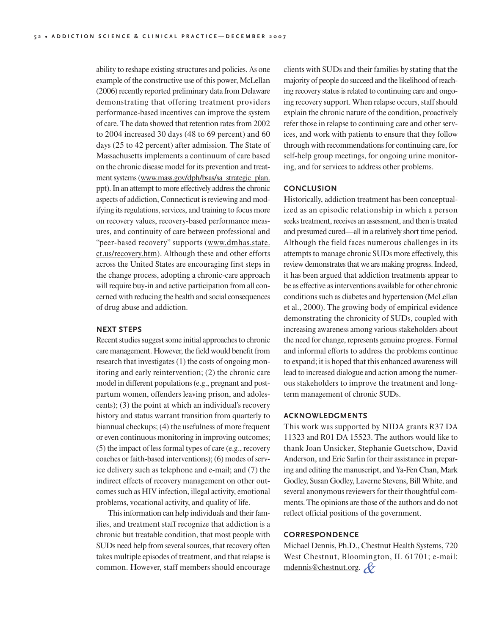ability to reshape existing structures and policies. As one example of the constructive use of this power, McLellan (2006) recently reported preliminary data from Delaware demonstrating that offering treatment providers performance-based incentives can improve the system of care. The data showed that retention rates from 2002 to 2004 increased 30 days (48 to 69 percent) and 60 days (25 to 42 percent) after admission. The State of Massachusetts implements a continuum of care based on the chronic disease model for its prevention and treatment systems (www.mass.gov/dph/bsas/sa\_strategic\_plan. ppt). In an attempt to more effectively address the chronic aspects of addiction, Connecticut is reviewing and modifying its regulations, services, and training to focus more on recovery values, recovery-based performance measures, and continuity of care between professional and "peer-based recovery" supports (www.dmhas.state. ct.us/recovery.htm). Although these and other efforts across the <sup>U</sup>nited States are encouraging first steps in the change process, adopting a chronic-care approach will require buy-in and active participation from all concerned with reducing the health and social consequences of drug abuse and addiction.

#### **NEXT STEPS**

Recent studies suggest some initial approaches to chronic care management. However, the field would benefit from research that investigates (1) the costs of ongoing monitoring and early reintervention; (2) the chronic care model in different populations (e.g., pregnant and postpartum women, offenders leaving prison, and adolescents); (3) the point at which an individual's recovery history and status warrant transition from quarterly to biannual checkups; (4) the usefulness of more frequent or even continuous monitoring in improving outcomes; (5) the impact of less formal types of care (e.g., recovery coaches or faith-based interventions); (6) modes of service delivery such as telephone and e-mail; and (7) the indirect effects of recovery management on other outcomes such as HIV infection, illegal activity, emotional problems, vocational activity, and quality of life.

This information can help individuals and their families, and treatment staff recognize that addiction is a chronic but treatable condition, that most people with SUDs need help from several sources, that recovery often takes multiple episodes of treatment, and that relapse is common. However, staff members should encourage

clients with SUDs and their families by stating that the majority of people do succeed and the likelihood of reaching recovery status is related to continuing care and ongoing recovery support. When relapse occurs, staff should explain the chronic nature of the condition, proactively refer those in relapse to continuing care and other services, and work with patients to ensure that they follow through with recommendations for continuing care, for self-help group meetings, for ongoing urine monitoring, and for services to address other problems.

## **CONCLUSION**

Historically, addiction treatment has been conceptualized as an episodic relationship in which a person seeks treatment, receives an assessment, and then is treated and presumed cured—all in a relatively short time period. Although the field faces numerous challenges in its attempts to manage chronic SUDs more effectively, this review demonstrates that we are making progress. Indeed, it has been argued that addiction treatments appear to be as effective as interventions available for other chronic conditions such as diabetes and hypertension (McLellan et al., 2000). The growing body of empirical evidence demonstrating the chronicity of SUDs, coupled with increasing awareness among various stakeholders about the need for change, represents genuine progress. Formal and informal efforts to address the problems continue to expand; it is hoped that this enhanced awareness will lead to increased dialogue and action among the numerous stakeholders to improve the treatment and longterm management of chronic SUDs.

## **ACKNOWLEDGMENTS**

This work was supported by NIDA grants R37 DA 11323 and R01 DA 15523. The authors would like to thank Joan <sup>U</sup>nsicker, Stephanie Guetschow, David Anderson, and Eric Sarlin for their assistance in preparing and editing the manuscript, and Ya-Fen Chan, Mark Godley, Susan Godley, Laverne Stevens, Bill White, and several anonymous reviewers for their thoughtful comments. The opinions are those of the authors and do not reflect official positions of the government.

# **CORRESPONDENCE**

Michael Dennis, Ph.D., Chestnut Health Systems, 720 West Chestnut, Bloomington, IL 61701; e-mail: mdennis@chestnut.org.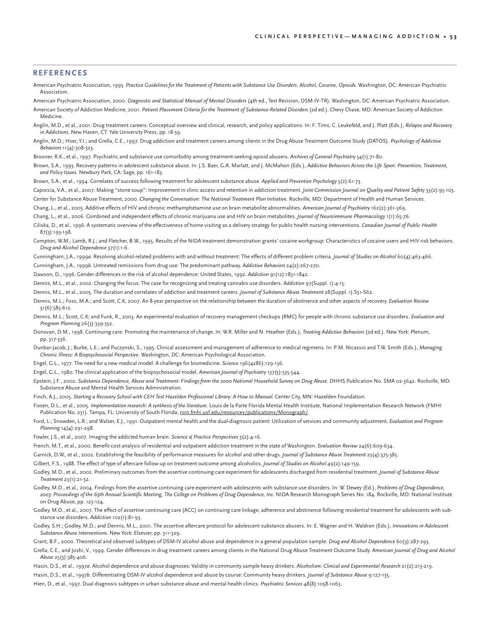#### **REFERENCES**

- American Psychiatric Association, 1995. *Practice Guidelines for the Treatment of Patients with Substance Use Disorders: Alcohol, Cocaine, Opioids.* Washington, DC: American Psychiatric Association.
- American Psychiatric Association, 2000. *Diagnostic and Statistical Manual of Mental Disorders* (4th ed., Text Revision, DSM-IV-TR). Washington, DC: American Psychiatric Association. American Society of Addiction Medicine, 2001. *Patient Placement Criteria for the Treatment of Substance-Related Disorders* (2d ed.). Chevy Chase, MD: American Society of Addiction Medicine.
- Anglin, M.D., et al., 2001. Drug treatment careers: Conceptual overview and clinical, research, and policy applications. In: F. Tims, C. Leukefeld, and J. Platt (Eds.), *Relapse and Recovery in Addictions*. New Haven, CT: Yale University Press, pp. 18-39.
- Anglin, M.D.; Hser, Y.I.; and Grella, C.E., 1997. Drug addiction and treatment careers among clients in the Drug Abuse Treatment Outcome Study (DATOS). *Psychology of Addictive Behaviors* 11(4):308-323.
- Brooner, R.K., et al., 1997. Psychiatric and substance use comorbidity among treatment-seeking opioid abusers. *Archives of General Psychiatry* 54(1):71-80.
- Brown, S.A., 1993. Recovery patterns in adolescent substance abuse. In: J.S. Baer, G.A. Marlatt, and J. McMahon (Eds.), *Addictive Behaviors Across the Life Span: Prevention, Treatment, and Policy Issues.* Newbury Park, CA: Sage, pp. 161-183.
- Brown, S.A., et al., 1994. Correlates of success following treatment for adolescent substance abuse. *Applied and Preventive Psychology* 3(2):61-73.
- Capoccia, V.A., et al., 2007. Making "stone soup": Improvement in clinic access and retention in addiction treatment. *Joint Commission Journal on Quality and Patient Safety* 33(2):95-103. Center for Substance Abuse Treatment, 2000. *Changing the Conversation: The National Treatment Plan Initiative.* Rockville, MD: Department of Health and Human Services.
- Chang, L., et al., 2005. Additive effects of HIV and chronic methamphetamine use on brain metabolite abnormalities. *American Journal of Psychiatry* 162(2):361-369.
- Chang, L., et al., 2006. Combined and independent effects of chronic marijuana use and HIV on brain metabolites. *Journal of Neuroimmune Pharmacology* 1(1):65-76.
- Ciliska, D., et al., 1996. A systematic overview of the effectiveness of home visiting as a delivery strategy for public health nursing interventions. *Canadian Journal of Public Health* 87(3):193-198.
- Compton, W.M.; Lamb, R.J.; and Fletcher, B.W., 1995. Results of the NIDA treatment demonstration grants' cocaine workgroup: Characteristics of cocaine users and HIV risk behaviors. *Drug and Alcohol Dependence* 37(1):1-6.
- Cunningham, J.A., 1999*a*. Resolving alcohol-related problems with and without treatment: The effects of different problem criteria. *Journal of Studies on Alcohol* 60(4):463-466.
- Cunningham, J.A., 1999*b*. Untreated remissions from drug use: The predominant pathway. *Addictive Behaviors* 24(2):267-270.
- Dawson, D., 1996. Gender differences in the risk of alcohol dependence: United States, 1992. *Addiction* 91(12):1831-1842.
- Dennis, M.L., et al., 2002. Changing the focus: The case for recognizing and treating cannabis use disorders. *Addiction* 97(Suppl. 1):4-15.
- Dennis, M.L., et al., 2005. The duration and correlates of addiction and treatment careers. *Journal of Substance Abuse Treatment* 28(Suppl. 1):S51-S62.
- Dennis, M.L.; Foss, M.A.; and Scott, C.K, 2007. An 8-year perspective on the relationship between the duration of abstinence and other aspects of recovery. *Evaluation Review* 31(6):585-612.
- Dennis, M.L.; Scott, C.K; and Funk, R., 2003. An experimental evaluation of recovery management checkups (RMC) for people with chronic substance use disorders. *Evaluation and Program Planning* 26(3):339-352.
- Donovan, D.M., 1998. Continuing care: Promoting the maintenance of change. In: W.R. Miller and N. Heather (Eds.), *Treating Addictive Behaviors* (2d ed.). New York: Plenum, pp. 317-336.
- Dunbar-Jacob, J.; Burke, L.E.; and Puczynski, S., 1995. Clinical assessment and management of adherence to medical regimens. In: P.M. Nicassio and T.W. Smith (Eds.), *Managing Chronic Illness: A Biopsychosocial Perspective.* Washington, DC: American Psychological Association.
- Engel, G.L., 1977. The need for a new medical model: A challenge for biomedicine. *Science* 196(4286):129-136.
- Engel, G.L., 1980. The clinical application of the biopsychosocial model. *American Journal of Psychiatry* 137(5):535-544.
- Epstein, J.F., 2002. *Substance Dependence, Abuse and Treatment: Findings from the 2000 National Household Survey on Drug Abuse.* DHHS Publication No. SMA 02-3642. Rockville, MD: Substance Abuse and Mental Health Services Administration.
- Finch, A.J., 2005. *Starting a Recovery School with CEH Test Hazelden Professional Library: A How to Manual.* Center City, MN: Hazelden Foundation.
- Fixsen, D.L., et al., 2005. *Implementation research: A synthesis of the literature.* Louis de la Parte Florida Mental Health Institute, National Implementation Research Network (FMHI Publication No. 231). Tampa, FL: University of South Florida; nirn.fmhi.usf.edu/resources/publications/Monograph/.
- Ford, L.; Snowden, L.R.; and Walser, E.J., 1991. Outpatient mental health and the dual-diagnosis patient: Utilization of services and community adjustment. *Evaluation and Program Planning* 14(4):291-298.
- Fowler, J.S., et al., 2007. Imaging the addicted human brain. *Science & Practice Perspectives* 3(2):4-16.
- French, M.T., et al., 2000. Benefit-cost analysis of residential and outpatient addiction treatment in the state of Washington. *Evaluation Review* 24(6):609-634.
- Garnick, D.W., et al., 2002. Establishing the feasibility of performance measures for alcohol and other drugs. *Journal of Substance Abuse Treatment* 23(4):375-385.
- Gilbert, F.S., 1988. The effect of type of aftercare follow-up on treatment outcome among alcoholics. *Journal of Studies on Alcohol* 49(2):149-159.
- Godley, M.D., et al., 2002. Preliminary outcomes from the assertive continuing care experiment for adolescents discharged from residential treatment. *Journal of Substance Abuse Treatment* 23(1):21-32.
- Godley, M.D., et al., 2004. Findings from the assertive continuing care experiment with adolescents with substance use disorders. In: W. Dewey (Ed.), *Problems of Drug Dependence,* 2003: Proceedings of the 65th Annual Scientific Meeting, The College on Problems of Drug Dependence, Inc. NIDA Research Monograph Series No. 184. Rockville, MD: National Institute on Drug Abuse, pp. 123-124.
- Godley, M.D., et al., 2007. The effect of assertive continuing care (ACC) on continuing care linkage, adherence and abstinence following residential treatment for adolescents with substance use disorders. *Addiction* 102(1):81-93.
- Godley, S.H.; Godley, M.D.; and Dennis, M.L., 2001. The assertive aftercare protocol for adolescent substance abusers. In: E. Wagner and H. Waldron (Eds.), *Innovations in Adolescent Substance Abuse Interventions.* New York: Elsevier, pp. 311-329.
- Grant, B.F., 2000. Theoretical and observed subtypes of DSM-IV alcohol abuse and dependence in a general population sample. *Drug and Alcohol Dependence* 60(3):287-293.
- Grella, C.E., and Joshi, V., 1999. Gender differences in drug treatment careers among clients in the National Drug Abuse Treatment Outcome Study. *American Journal of Drug and Alcohol Abuse* 25(3):385-406.
- Hasin, D.S., et al., 1997*a*. Alcohol dependence and abuse diagnoses: Validity in community sample heavy drinkers. *Alcoholism: Clinical and Experimental Research* 21(2):213-219.
- Hasin, D.S., et al., 1997*b*. Differentiating DSM-IV alcohol dependence and abuse by course: Community heavy drinkers. *Journal of Substance Abuse* 9:127-135.
- Hien, D., et al., 1997. Dual diagnosis subtypes in urban substance abuse and mental health clinics. *Psychiatric Services* 48(8):1058-1063.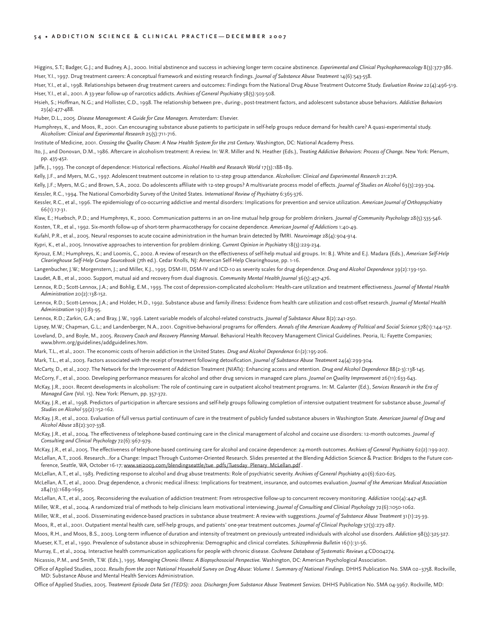#### 54 . ADDICTION SCIENCE & CLINICAL PRACTICE-DECEMBER 2007

Higgins, S.T.; Badger, G.J.; and Budney, A.J., 2000. Initial abstinence and success in achieving longer term cocaine abstinence. *Experimental and Clinical Psychopharmacology* 8(3):377-386. Hser, Y.I., 1997. Drug treatment careers: A conceptual framework and existing research findings. *Journal of Substance Abuse Treatment* 14(6):543-558.

Hser, Y.I., et al., 1998. Relationships between drug treatment careers and outcomes: Findings from the National Drug Abuse Treatment Outcome Study. *Evaluation Review* 22(4):496-519. Hser, Y.I., et al., 2001. A 33-year follow-up of narcotics addicts. *Archives of General Psychiatry* 58(5):503-508.

Hsieh, S.; Hoffman, N.G.; and Hollister, C.D., 1998. The relationship between pre-, during-, post-treatment factors, and adolescent substance abuse behaviors. *Addictive Behaviors* 23(4):477-488.

Huber, D.L., 2005. *Disease Management: A Guide for Case Managers.* Amsterdam: Elsevier.

Humphreys, K., and Moos, R., 2001. Can encouraging substance abuse patients to participate in self-help groups reduce demand for health care? A quasi-experimental study. *Alcoholism: Clinical and Experimental Research* 25(5):711-716.

Institute of Medicine, 2001. *Crossing the Quality Chasm: A New Health System for the 21st Century*. Washington, DC: National Academy Press.

Ito, J., and Donovan, D.M., 1986. Aftercare in alcoholism treatment: A review. In: W.R. Miller and N. Heather (Eds.), *Treating Addictive Behaviors: Process of Change.* New York: Plenum, pp. 435-452.

Jaffe, J., 1993. The concept of dependence: Historical reflections. *Alcohol Health and Research World* 17(3):188-189.

Kelly, J.F., and Myers, M.G., 1997. Adolescent treatment outcome in relation to 12-step group attendance. *Alcoholism: Clinical and Experimental Research* 21:27A.

Kelly, J.F.; Myers, M.G.; and Brown, S.A., 2002. Do adolescents affiliate with 12-step groups? A multivariate process model of effects. *Journal of Studies on Alcohol* 63(3):293-304. Kessler, R.C., 1994. The National Comorbidity Survey of the United States. *International Review of Psychiatry* 6:365-376.

Kessler, R.C., et al., 1996. The epidemiology of co-occurring addictive and mental disorders: Implications for prevention and service utilization. *American Journal of Orthopsychiatry* 66(1):17-31.

Klaw, E.; Huebsch, P.D.; and Humphreys, K., 2000. Communication patterns in an on-line mutual help group for problem drinkers. *Journal of Community Psychology* 28(5):535-546.

Kosten, T.R., et al., 1992. Six-month follow-up of short-term pharmacotherapy for cocaine dependence. *American Journal of Addictions* 1:40-49.

Kufahl, P.R., et al., 2005. Neural responses to acute cocaine administration in the human brain detected by fMRI. *Neuroimage* 28(4):904-914.

Kypri, K., et al., 2005. Innovative approaches to intervention for problem drinking. *Current Opinion in Psychiatry* 18(3):229-234.

Kyrouz, E.M.; Humphreys, K.; and Loomis, C., 2002. A review of research on the effectiveness of self-help mutual aid groups. In: B.J. White and E.J. Madara (Eds.), *American Self-Help Clearinghouse Self-Help Group Sourcebook* (7th ed.). Cedar Knolls, NJ: American Self-Help Clearinghouse, pp. 1-16.

Langenbucher, J.W.; Morgenstern, J.; and Miller, K.J., 1995. DSM-III, DSM-IV and ICD-10 as severity scales for drug dependence. *Drug and Alcohol Dependence* 39(2):139-150. Laudet, A.B., et al., 2000. Support, mutual aid and recovery from dual diagnosis. *Community Mental Health Journal* 36(5):457-476.

Lennox, R.D.; Scott-Lennox, J.A.; and Bohlig, E.M., 1993. The cost of depression-complicated alcoholism: Health-care utilization and treatment effectiveness. *Journal of Mental Health Administration* 20(2):138-152.

Lennox, R.D.; Scott-Lennox, J.A.; and Holder, H.D., 1992. Substance abuse and family illness: Evidence from health care utilization and cost-offset research. *Journal of Mental Health Administration* 19(1):83-95.

Lennox, R.D.; Zarkin, G.A.; and Bray, J.W., 1996. Latent variable models of alcohol-related constructs. *Journal of Substance Abuse* 8(2):241-250.

Lipsey, M.W.; Chapman, G.L.; and Landenberger, N.A., 2001. Cognitive-behavioral programs for offenders. *Annals of the American Academy of Political and Social Science* 578(1):144-157. Loveland, D., and Boyle, M., 2005. *Recovery Coach and Recovery Planning Manual.* Behavioral Health Recovery Management Clinical Guidelines. Peoria, IL: Fayette Companies; www.bhrm.org/guidelines/addguidelines.htm.

Mark, T.L., et al., 2001. The economic costs of heroin addiction in the United States. *Drug and Alcohol Dependence* 61(2):195-206.

Mark, T.L., et al., 2003. Factors associated with the receipt of treatment following detoxification. *Journal of Substance Abuse Treatment* 24(4):299-304.

McCarty, D., et al., 2007. The Network for the Improvement of Addiction Treatment (NIATx): Enhancing access and retention. *Drug and Alcohol Dependence* 88(2-3):138-145.

McCorry, F., et al., 2000. Developing performance measures for alcohol and other drug services in managed care plans. *Journal on Quality Improvement* 26(11):633-643.

- McKay, J.R., 2001. Recent developments in alcoholism: The role of continuing care in outpatient alcohol treatment programs. In: M. Galanter (Ed.), *Services Research in the Era of Managed Care* (Vol. 15). New York: Plenum, pp. 357-372.
- McKay, J.R., et al., 1998. Predictors of participation in aftercare sessions and self-help groups following completion of intensive outpatient treatment for substance abuse. *Journal of Studies on Alcohol* 59(2):152-162.

McKay, J.R., et al., 2002. Evaluation of full versus partial continuum of care in the treatment of publicly funded substance abusers in Washington State. *American Journal of Drug and Alcohol Abuse* 28(2):307-338.

McKay, J.R., et al., 2004. The effectiveness of telephone-based continuing care in the clinical management of alcohol and cocaine use disorders: 12-month outcomes. *Journal of Consulting and Clinical Psychology* 72(6):967-979.

McKay, J.R., et al., 2005. The effectiveness of telephone-based continuing care for alcohol and cocaine dependence: 24-month outcomes. *Archives of General Psychiatry* 62(2):199-207. McLellan, A.T., 2006. Research…for a Change: Impact Through Customer-Oriented Research. Slides presented at the Blending Addiction Science & Practice: Bridges to the Future conference, Seattle, WA, October 16-17; www.sei2003.com/blendingseattle/tue\_pdfs/Tuesday\_Plenary\_McLellan.pdf .

McLellan, A.T., et al., 1983. Predicting response to alcohol and drug abuse treatments: Role of psychiatric severity. *Archives of General Psychiatry* 40(6):620-625.

McLellan, A.T., et al., 2000. Drug dependence, a chronic medical illness: Implications for treatment, insurance, and outcomes evaluation. *Journal of the American Medical Association* 284(13):1689-1695.

McLellan, A.T., et al., 2005. Reconsidering the evaluation of addiction treatment: From retrospective follow-up to concurrent recovery monitoring. *Addiction* 100(4):447-458.

Miller, W.R., et al., 2004. A randomized trial of methods to help clinicians learn motivational interviewing. *Journal of Consulting and Clinical Psychology* 72(6):1050-1062.

Miller, W.R., et al., 2006. Disseminating evidence-based practices in substance abuse treatment: A review with suggestions. *Journal of Substance Abuse Treatment* 31(1):25-39.

Moos, R., et al., 2001. Outpatient mental health care, self-help groups, and patients' one-year treatment outcomes. *Journal of Clinical Psychology* 57(3):273-287.

Moos, R.H., and Moos, B.S., 2003. Long-term influence of duration and intensity of treatment on previously untreated individuals with alcohol use disorders. *Addiction* 98(3):325-327. Mueser, K.T., et al., 1990. Prevalence of substance abuse in schizophrenia: Demographic and clinical correlates. *Schizophrenia Bulletin* 16(1):31-56.

Murray, E., et al., 2004. Interactive health communication applications for people with chronic disease. *Cochrane Database of Systematic Reviews* 4:CD004274.

Nicassio, P.M., and Smith, T.W. (Eds.), 1995. *Managing Chronic Illness: A Biopsychosocial Perspective.* Washington, DC: American Psychological Association.

Office of Applied Studies, 2002. *Results from the 2001 National Household Survey on Drug Abuse: Volume I. Summary of National Findings.* DHHS Publication No. SMA 02–3758. Rockville, MD: Substance Abuse and Mental Health Services Administration.

Office of Applied Studies, 2005. Treatment Episode Data Set (TEDS): 2002. Discharges from Substance Abuse Treatment Services. DHHS Publication No. SMA 04-3967. Rockville, MD: